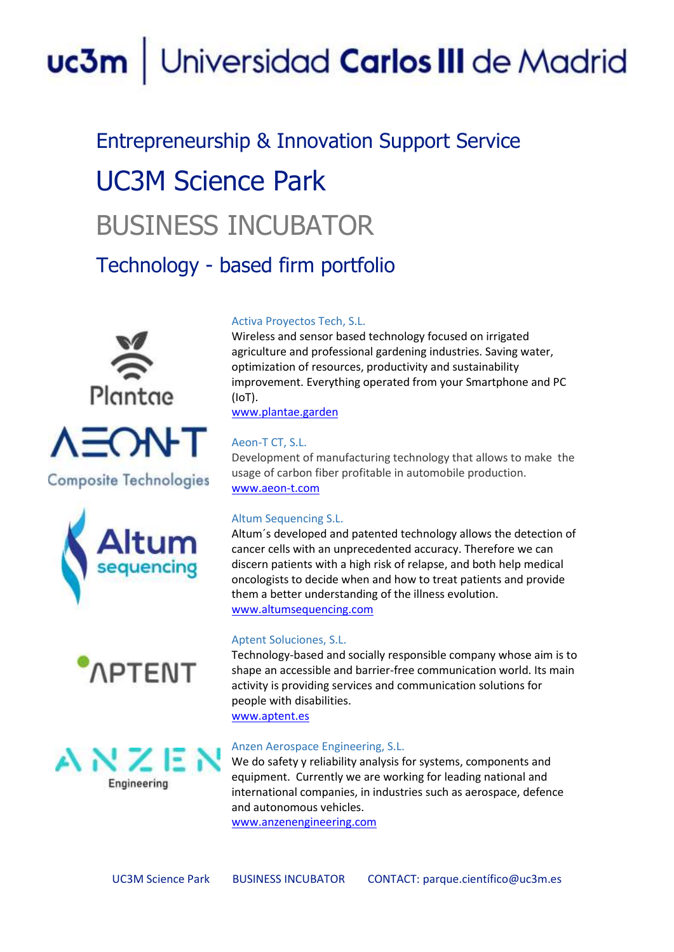# uc3m | Universidad Carlos III de Madrid

## Entrepreneurship & Innovation Support Service UC3M Science Park BUSINESS INCUBATOR

Technology - based firm portfolio





**Composite Technologies** 







#### Activa Proyectos Tech, S.L.

Wireless and sensor based technology focused on irrigated agriculture and professional gardening industries. Saving water, optimization of resources, productivity and sustainability improvement. Everything operated from your Smartphone and PC (IoT).

[www.plantae.garden](http://www.plantae.garden/)

### [Aeon-T](https://www.uc3m.es/ss/Satellite/InnovacionEmprendimiento/es/TextoMixta/1371262806908/) CT, S.L.

Development of manufacturing technology that allows to make the usage of carbon fiber profitable in automobile production. [www.aeon-t.com](about:blank)

#### Altum Sequencing S.L.

Altum´s developed and patented technology allows the detection of cancer cells with an unprecedented accuracy. Therefore we can discern patients with a high risk of relapse, and both help medical oncologists to decide when and how to treat patients and provide them a better understanding of the illness evolution. [www.altumsequencing.com](about:blank)

#### [Aptent](https://www.uc3m.es/ss/Satellite/InnovacionEmprendimiento/es/TextoMixta/1371256369063/) [Soluciones,](https://www.uc3m.es/ss/Satellite/InnovacionEmprendimiento/es/TextoMixta/1371256369063/) S.L.

Technology-based and socially responsible company whose aim is to shape an accessible and barrier-free communication world. Its main activity is providing services and communication solutions for people with disabilities.

[www.aptent.es](about:blank)

#### Anzen Aerospace Engineering, S.L.

We do safety y reliability analysis for systems, components and equipment. Currently we are working for leading national and international companies, in industries such as aerospace, defence and autonomous vehicles.

[www.anzenengineering.com](about:blank)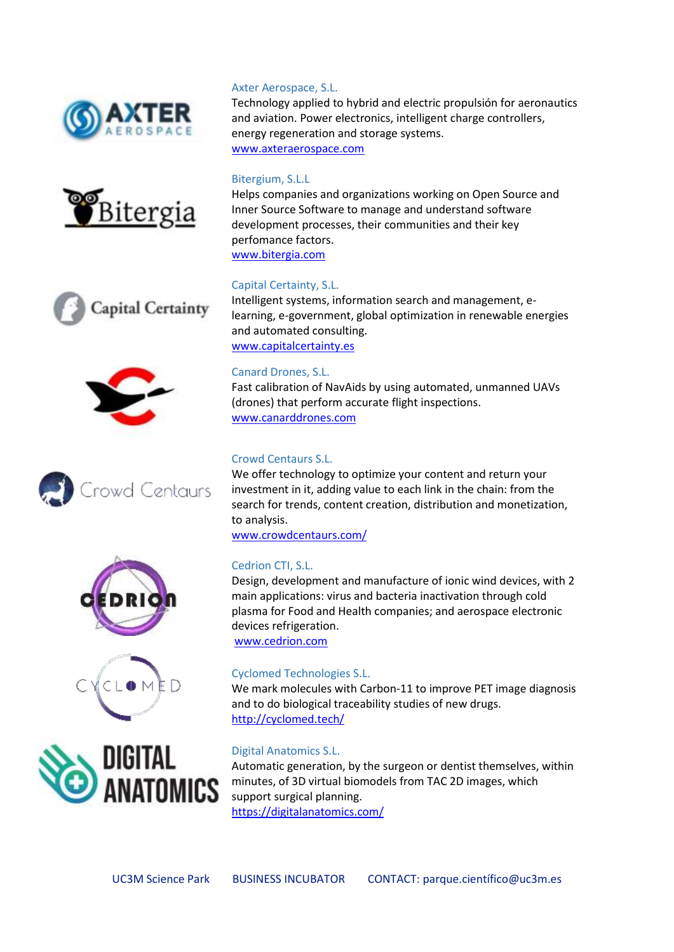















#### Axter Aerospace, S.L.

Technology applied to hybrid and electric propulsión for aeronautics and aviation. Power electronics, intelligent charge controllers, energy regeneration and storage systems. [www.axteraerospace.com](about:blank)

#### Bitergium, S.L.L

Helps companies and organizations working on Open Source and Inner Source Software to manage and understand software development processes, their communities and their key perfomance factors. [www.bitergia.com](about:blank)

#### Capital Certainty, S.L.

Intelligent systems, information search and management, elearning, e-government, global optimization in renewable energies and automated consulting. [www.capitalcertainty.es](about:blank)

#### Canard Drones, S.L.

Fast calibration of NavAids by using automated, unmanned UAVs (drones) that perform accurate flight inspections. [www.canarddrones.com](about:blank)

#### Crowd Centaurs S.L.

We offer technology to optimize your content and return your investment in it, adding value to each link in the chain: from the search for trends, content creation, distribution and monetization, to analysis.

[www.crowdcentaurs.com/](http://www.crowdcentaurs.com/)

#### Cedrion CTI, S.L.

Design, development and manufacture of ionic wind devices, with 2 main applications: virus and bacteria inactivation through cold plasma for Food and Health companies; and aerospace electronic devices refrigeration.

[www.cedrion.com](about:blank)

#### Cyclomed Technologies S.L.

We mark molecules with Carbon-11 to improve PET image diagnosis and to do biological traceability studies of new drugs. <http://cyclomed.tech/>

#### Digital Anatomics S.L.

Automatic generation, by the surgeon or dentist themselves, within minutes, of 3D virtual biomodels from TAC 2D images, which support surgical planning. <https://digitalanatomics.com/>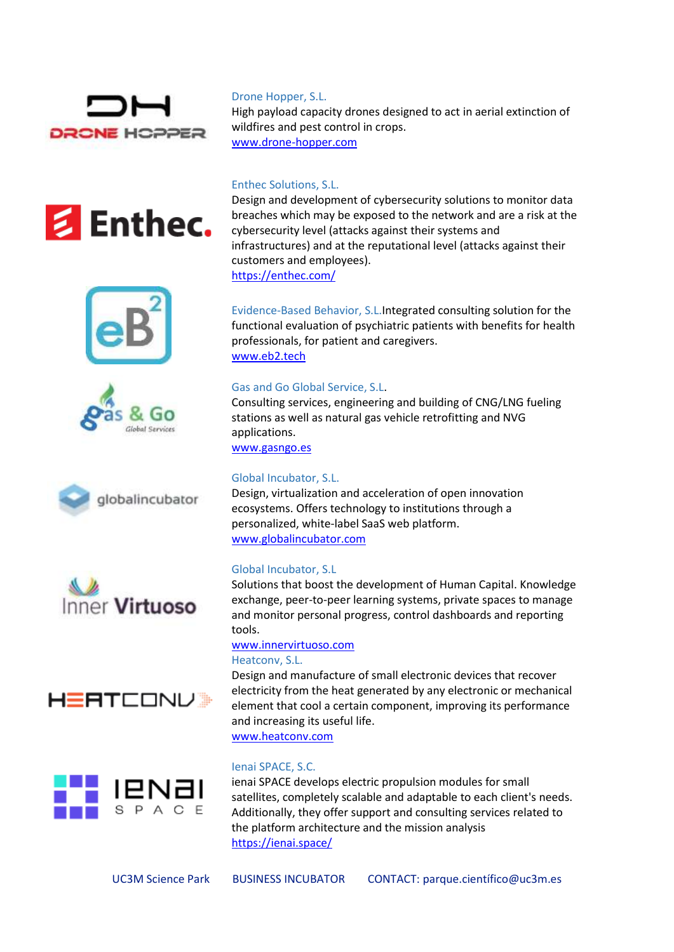















#### Drone Hopper, S.L.

High payload capacity drones designed to act in aerial extinction of wildfires and pest control in crops. [www.drone-hopper.com](about:blank)

Enthec Solutions, S.L.

Design and development of cybersecurity solutions to monitor data breaches which may be exposed to the network and are a risk at the cybersecurity level (attacks against their systems and infrastructures) and at the reputational level (attacks against their customers and employees). <https://enthec.com/>

Evidence-Based Behavior, S.L.Integrated consulting solution for the functional evaluation of psychiatric patients with benefits for health professionals, for patient and caregivers. [www.eb2.tech](about:blank)

#### Gas and Go Global Service, S.L.

Consulting services, engineering and building of CNG/LNG fueling stations as well as natural gas vehicle retrofitting and NVG applications.

[www.gasngo.es](about:blank)

#### Global Incubator, S.L.

Design, virtualization and acceleration of open innovation ecosystems. Offers technology to institutions through a personalized, white-label SaaS web platform. [www.globalincubator.com](http://www.globalincubator.com/)

#### Global Incubator, S.L

Solutions that boost the development of Human Capital. Knowledge exchange, peer-to-peer learning systems, private spaces to manage and monitor personal progress, control dashboards and reporting tools.

## [www.innervirtuoso.com](about:blank)

#### Heatconv, S.L.

Design and manufacture of small electronic devices that recover electricity from the heat generated by any electronic or mechanical element that cool a certain component, improving its performance and increasing its useful life. [www.heatconv.com](file:///C:/Users/davidher/Downloads/www.heatconv.com)

#### Ienai SPACE, S.C.

ienai SPACE develops electric propulsion modules for small satellites, completely scalable and adaptable to each client's needs. Additionally, they offer support and consulting services related to the platform architecture and the mission analysis <https://ienai.space/>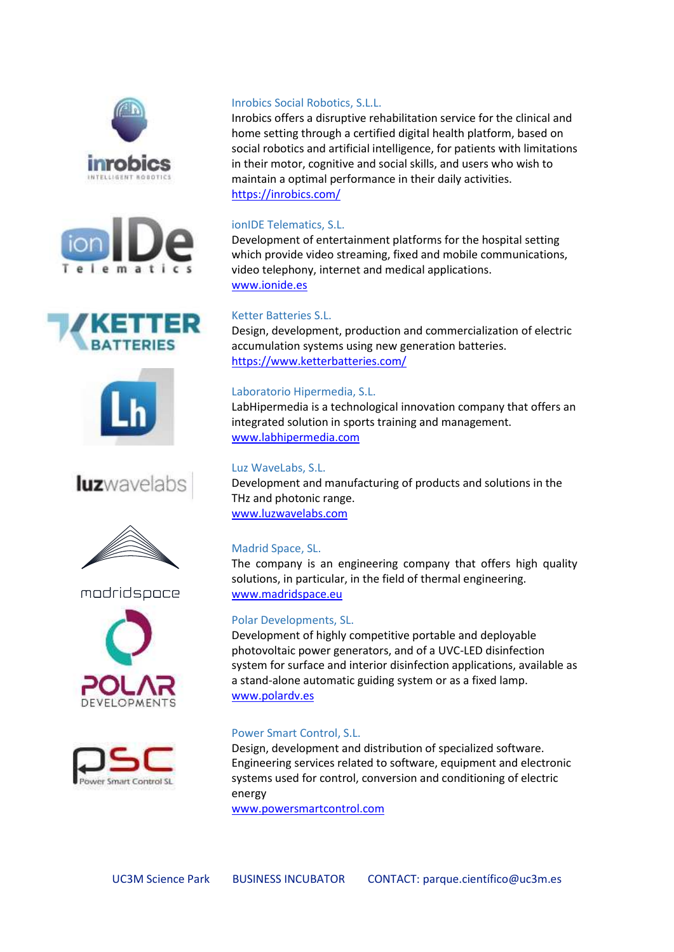











modridspoce





#### Inrobics Social Robotics, S.L.L.

Inrobics offers a disruptive rehabilitation service for the clinical and home setting through a certified digital health platform, based on social robotics and artificial intelligence, for patients with limitations in their motor, cognitive and social skills, and users who wish to maintain a optimal performance in their daily activities. <https://inrobics.com/>

#### ionIDE Telematics, S.L.

Development of entertainment platforms for the hospital setting which provide video streaming, fixed and mobile communications, video telephony, internet and medical applications. [www.ionide.es](about:blank)

#### Ketter Batteries S.L.

Design, development, production and commercialization of electric accumulation systems using new generation batteries. <https://www.ketterbatteries.com/>

#### Laboratorio Hipermedia, S.L.

LabHipermedia is a technological innovation company that offers an integrated solution in sports training and management. [www.labhipermedia.com](http://www.labhipermedia.com/)

#### Luz WaveLabs, S.L.

Development and manufacturing of products and solutions in the THz and photonic range. [www.luzwavelabs.com](about:blank)

#### Madrid Space, SL.

The company is an engineering company that offers high quality solutions, in particular, in the field of thermal engineering. [www.madridspace.eu](about:blank)

#### Polar Developments, SL.

Development of highly competitive portable and deployable photovoltaic power generators, and of a UVC-LED disinfection system for surface and interior disinfection applications, available as a stand-alone automatic guiding system or as a fixed lamp. [www.polardv.es](about:blank)

#### Power Smart Control, S.L.

Design, development and distribution of specialized software. Engineering services related to software, equipment and electronic systems used for control, conversion and conditioning of electric energy

[www.powersmartcontrol.com](about:blank)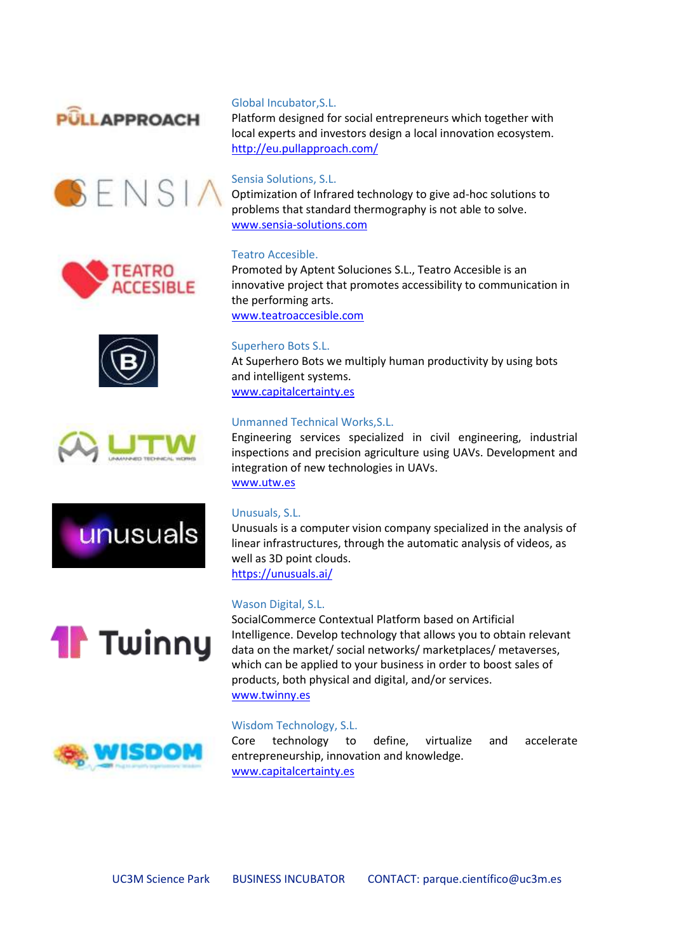















#### Global Incubator,S.L.

Platform designed for social entrepreneurs which together with local experts and investors design a local innovation ecosystem. <http://eu.pullapproach.com/>

#### Sensia Solutions, S.L.

Optimization of Infrared technology to give ad-hoc solutions to problems that standard thermography is not able to solve. [www.sensia-solutions.com](about:blank)

#### Teatro Accesible.

Promoted by Aptent Soluciones S.L., Teatro Accesible is an innovative project that promotes accessibility to communication in the performing arts. [www.teatroaccesible.com](http://www.teatroaccesible.com/)

Superhero Bots S.L.

At Superhero Bots we multiply human productivity by using bots and intelligent systems. [www.capitalcertainty.es](about:blank)

#### Unmanned Technical Works,S.L.

Engineering services specialized in civil engineering, industrial inspections and precision agriculture using UAVs. Development and integration of new technologies in UAVs. [www.utw.es](about:blank)

#### Unusuals, S.L.

Unusuals is a computer vision company specialized in the analysis of linear infrastructures, through the automatic analysis of videos, as well as 3D point clouds. <https://unusuals.ai/>

#### Wason Digital, S.L.

SocialCommerce Contextual Platform based on Artificial Intelligence. Develop technology that allows you to obtain relevant data on the market/ social networks/ marketplaces/ metaverses, which can be applied to your business in order to boost sales of products, both physical and digital, and/or services. [www.twinny.es](http://www.twinny.es/)

#### Wisdom Technology, S.L.

Core technology to define, virtualize and accelerate entrepreneurship, innovation and knowledge. [www.capitalcertainty.es](about:blank)